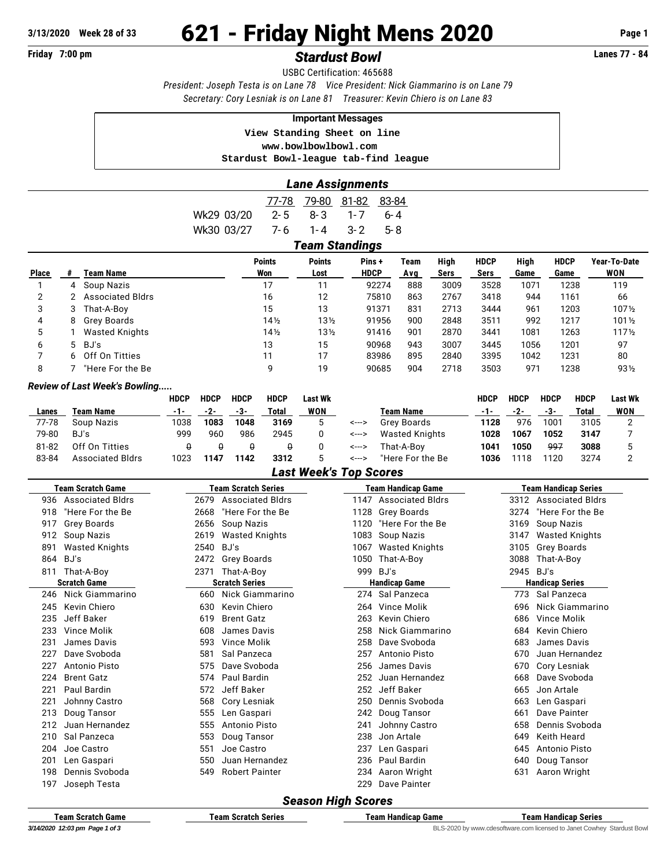## **Friday 7:00 pm** *Stardust Bowl* **Lanes 77 - 84**

USBC Certification: 465688 *President: Joseph Testa is on Lane 78 Vice President: Nick Giammarino is on Lane 79 Secretary: Cory Lesniak is on Lane 81 Treasurer: Kevin Chiero is on Lane 83*

#### **Important Messages**

 **View Standing Sheet on line**

 **<www.bowlbowlbowl.com>**

 **Stardust Bowl-league tab-find league**

### *Lane Assignments*

|              |    |                         |            | 77-78         | 79-80           | 81-82                 | 83-84   |      |      |             |      |             |                  |
|--------------|----|-------------------------|------------|---------------|-----------------|-----------------------|---------|------|------|-------------|------|-------------|------------------|
|              |    |                         | Wk29 03/20 | $2 - 5$       | $8 - 3$         | $1 - 7$               | $6 - 4$ |      |      |             |      |             |                  |
|              |    |                         | Wk30 03/27 | 7- 6          | 1-4             | $3 - 2$               | $5 - 8$ |      |      |             |      |             |                  |
|              |    |                         |            |               |                 | <b>Team Standings</b> |         |      |      |             |      |             |                  |
|              |    |                         |            | <b>Points</b> | <b>Points</b>   | Pins +                |         | Team | High | <b>HDCP</b> | High | <b>HDCP</b> | Year-To-Date     |
| <b>Place</b> | #  | Team Name               |            | Won           | Lost            | <b>HDCP</b>           |         | Avg  | Sers | Sers        | Game | Game        | WON              |
|              | 4  | Soup Nazis              |            | 17            | 11              |                       | 92274   | 888  | 3009 | 3528        | 1071 | 1238        | 119              |
| 2            |    | <b>Associated Bldrs</b> |            | 16            | 12              |                       | 75810   | 863  | 2767 | 3418        | 944  | 1161        | 66               |
| 3            | 3  | That-A-Boy              |            | 15            | 13              |                       | 91371   | 831  | 2713 | 3444        | 961  | 1203        | 1071/2           |
| 4            | 8  | <b>Grey Boards</b>      |            | 14½           | $13\frac{1}{2}$ |                       | 91956   | 900  | 2848 | 3511        | 992  | 1217        | $101\frac{1}{2}$ |
| 5            |    | <b>Wasted Knights</b>   |            | 14½           | 13 <sub>2</sub> |                       | 91416   | 901  | 2870 | 3441        | 1081 | 1263        | $117\frac{1}{2}$ |
| 6            |    | 5 BJ's                  |            | 13            | 15              |                       | 90968   | 943  | 3007 | 3445        | 1056 | 1201        | 97               |
| 7            | 6. | Off On Titties          |            | 11            | 17              |                       | 83986   | 895  | 2840 | 3395        | 1042 | 1231        | 80               |
| 8            |    | "Here For the Be        |            | 9             | 19              |                       | 90685   | 904  | 2718 | 3503        | 971  | 1238        | $93\frac{1}{2}$  |

#### *Review of Last Week's Bowling.....*

|       |                         | <b>HDCP</b> | <b>HDCP</b> | <b>HDCP</b> | <b>HDCP</b> | Last Wk |       |                  | HDCP | <b>HDCP</b> | <b>HDCP</b> | <b>HDCP</b> | <b>Last Wk</b> |
|-------|-------------------------|-------------|-------------|-------------|-------------|---------|-------|------------------|------|-------------|-------------|-------------|----------------|
| Lanes | Team Name               | $-1-$       | -2-         | -3-         | Total       | WON     |       | <b>Team Name</b> | -1-  | -2-         | -3-         | Total       | WON            |
| 77-78 | Soup Nazis              | 1038        | 1083        | 1048        | 3169        |         | <---> | Grev Boards      | 1128 | 976         | 1001        | 3105        |                |
| 79-80 | BJ's                    | 999         | 960         | 986         | 2945        |         | <---> | Wasted Knights   | 1028 | 1067        | 1052        | 3147        |                |
| 81-82 | Off On Titties          |             |             |             |             |         | <---> | That-A-Bov       | 1041 | 1050        | 997         | 3088        |                |
| 83-84 | <b>Associated Bldrs</b> | 1023        | 1147        | 1142        | 3312        |         | <---> | "Here For the Be | 1036 | 1118        | 1120        | 3274        |                |

#### *Last Week's Top Scores*

| <b>Team Scratch Game</b> |                         |                       | <b>Team Scratch Series</b> |      | Team Handicap Game      | <b>Team Handicap Series</b> |                         |  |  |  |  |
|--------------------------|-------------------------|-----------------------|----------------------------|------|-------------------------|-----------------------------|-------------------------|--|--|--|--|
| 936                      | <b>Associated Bldrs</b> | 2679                  | <b>Associated Bldrs</b>    | 1147 | <b>Associated Bldrs</b> | 3312                        | <b>Associated Bldrs</b> |  |  |  |  |
| 918                      | "Here For the Be        | 2668                  | "Here For the Be           | 1128 | Grey Boards             | 3274                        | "Here For the Be        |  |  |  |  |
| 917                      | Grey Boards             | 2656                  | Soup Nazis                 | 1120 | "Here For the Be        | 3169                        | Soup Nazis              |  |  |  |  |
| 912                      | Soup Nazis              | 2619                  | <b>Wasted Knights</b>      | 1083 | Soup Nazis              | 3147                        | <b>Wasted Knights</b>   |  |  |  |  |
| 891                      | <b>Wasted Knights</b>   | 2540                  | BJ's                       | 1067 | <b>Wasted Knights</b>   | 3105                        | Grey Boards             |  |  |  |  |
| 864                      | BJ's                    | 2472                  | <b>Grey Boards</b>         | 1050 | That-A-Boy              | 3088                        | That-A-Boy              |  |  |  |  |
| 811                      | That-A-Boy              | 2371                  | That-A-Boy                 | 999  | BJ's                    | 2945                        | BJ's                    |  |  |  |  |
|                          | <b>Scratch Game</b>     | <b>Scratch Series</b> |                            |      | <b>Handicap Game</b>    | <b>Handicap Series</b>      |                         |  |  |  |  |
| 246                      | Nick Giammarino         | 660                   | Nick Giammarino            | 274  | Sal Panzeca             | 773                         | Sal Panzeca             |  |  |  |  |
| 245                      | Kevin Chiero            | 630                   | Kevin Chiero               | 264  | <b>Vince Molik</b>      | 696                         | Nick Giammarino         |  |  |  |  |
| 235                      | Jeff Baker              | 619                   | <b>Brent Gatz</b>          | 263  | Kevin Chiero            | 686                         | Vince Molik             |  |  |  |  |
| 233                      | Vince Molik             | 608                   | James Davis                | 258  | Nick Giammarino         | 684                         | Kevin Chiero            |  |  |  |  |
| 231                      | James Davis             | 593                   | Vince Molik                | 258  | Dave Svoboda            | 683                         | James Davis             |  |  |  |  |
| 227                      | Dave Svoboda            | 581                   | Sal Panzeca                | 257  | Antonio Pisto           | 670                         | Juan Hernandez          |  |  |  |  |
| 227                      | Antonio Pisto           | 575                   | Dave Svoboda               | 256  | James Davis             | 670                         | Cory Lesniak            |  |  |  |  |
| 224                      | <b>Brent Gatz</b>       | 574                   | Paul Bardin                | 252  | Juan Hernandez          | 668                         | Dave Svoboda            |  |  |  |  |
| 221                      | Paul Bardin             | 572                   | Jeff Baker                 | 252  | Jeff Baker              | 665                         | Jon Artale              |  |  |  |  |
| 221                      | Johnny Castro           | 568                   | Cory Lesniak               | 250  | Dennis Svoboda          | 663                         | Len Gaspari             |  |  |  |  |
| 213                      | Doug Tansor             | 555                   | Len Gaspari                | 242  | Doug Tansor             | 661                         | Dave Painter            |  |  |  |  |
| 212                      | Juan Hernandez          | 555                   | Antonio Pisto              | 241  | Johnny Castro           | 658                         | Dennis Svoboda          |  |  |  |  |
| 210                      | Sal Panzeca             | 553                   | Doug Tansor                | 238  | Jon Artale              | 649                         | <b>Keith Heard</b>      |  |  |  |  |
| 204                      | Joe Castro              | 551                   | Joe Castro                 | 237  | Len Gaspari             | 645                         | Antonio Pisto           |  |  |  |  |
| 201                      | Len Gaspari             | 550                   | Juan Hernandez             | 236  | Paul Bardin             | 640                         | Doug Tansor             |  |  |  |  |
| 198                      | Dennis Svoboda          | 549                   | <b>Robert Painter</b>      | 234  | Aaron Wright            | 631                         | Aaron Wright            |  |  |  |  |
| 197                      | Joseph Testa            |                       |                            | 229  | Dave Painter            |                             |                         |  |  |  |  |
|                          | II: L C<br>c.           |                       |                            |      |                         |                             |                         |  |  |  |  |

#### *Season High Scores*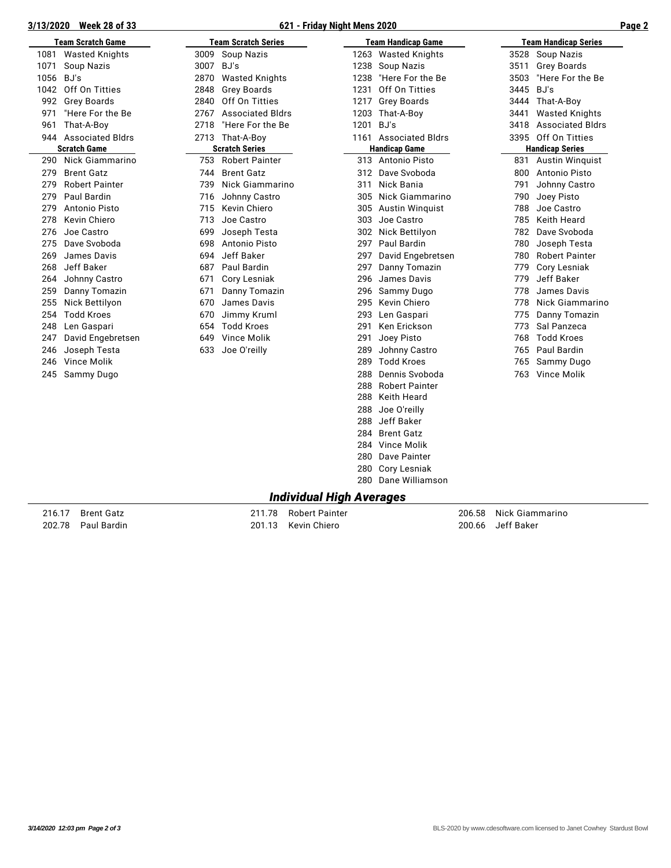# **3/13/2020 Week 28 of 33 621 - Friday Night Mens 2020 Page 2**

|  | 621 - Friday Night Mens 2020 |
|--|------------------------------|
|--|------------------------------|

|--|--|

| 3 <u>/13/2020</u> | <u>WEEK 20 01 33</u>     |           |                            | <u>021 - Friday Night Mens 2020</u> |                           |      |                             |  |
|-------------------|--------------------------|-----------|----------------------------|-------------------------------------|---------------------------|------|-----------------------------|--|
|                   | <b>Team Scratch Game</b> |           | <b>Team Scratch Series</b> |                                     | <b>Team Handicap Game</b> |      | <b>Team Handicap Series</b> |  |
| 1081              | <b>Wasted Knights</b>    |           | 3009 Soup Nazis            |                                     | 1263 Wasted Knights       |      | 3528 Soup Nazis             |  |
| 1071              | Soup Nazis               | 3007 BJ's |                            |                                     | 1238 Soup Nazis           | 3511 | Grey Boards                 |  |
| 1056              | BJ's                     | 2870      | <b>Wasted Knights</b>      | 1238                                | "Here For the Be          | 3503 | "Here For the Be            |  |
| 1042              | Off On Titties           | 2848      | <b>Grey Boards</b>         | 1231                                | Off On Titties            | 3445 | BJ's                        |  |
| 992               | Grey Boards              | 2840      | Off On Titties             | 1217                                | Grey Boards               |      | 3444 That-A-Boy             |  |
| 971               | "Here For the Be         | 2767      | <b>Associated Bldrs</b>    |                                     | 1203 That-A-Boy           | 3441 | <b>Wasted Knights</b>       |  |
| 961               | That-A-Boy               | 2718      | "Here For the Be           | 1201                                | BJ's                      | 3418 | <b>Associated Bldrs</b>     |  |
|                   | 944 Associated Bldrs     | 2713      | That-A-Boy                 |                                     | 1161 Associated Bldrs     | 3395 | Off On Titties              |  |
|                   | <b>Scratch Game</b>      |           | <b>Scratch Series</b>      |                                     | <b>Handicap Game</b>      |      | <b>Handicap Series</b>      |  |
|                   | 290 Nick Giammarino      | 753       | <b>Robert Painter</b>      |                                     | 313 Antonio Pisto         |      | 831 Austin Winquist         |  |
| 279               | <b>Brent Gatz</b>        | 744       | <b>Brent Gatz</b>          |                                     | 312 Dave Svoboda          | 800  | Antonio Pisto               |  |
| 279               | <b>Robert Painter</b>    | 739       | Nick Giammarino            | 311                                 | Nick Bania                | 791  | Johnny Castro               |  |
| 279               | Paul Bardin              | 716       | Johnny Castro              | 305                                 | Nick Giammarino           | 790  | Joey Pisto                  |  |
| 279               | Antonio Pisto            | 715       | Kevin Chiero               | 305                                 | Austin Winguist           | 788  | Joe Castro                  |  |
| 278               | Kevin Chiero             | 713       | Joe Castro                 | 303                                 | Joe Castro                | 785  | Keith Heard                 |  |
| 276               | Joe Castro               | 699       | Joseph Testa               | 302                                 | Nick Bettilyon            | 782  | Dave Svoboda                |  |
| 275               | Dave Svoboda             | 698       | Antonio Pisto              | 297                                 | Paul Bardin               | 780  | Joseph Testa                |  |
| 269               | James Davis              | 694       | Jeff Baker                 | 297                                 | David Engebretsen         | 780  | <b>Robert Painter</b>       |  |
| 268               | Jeff Baker               | 687       | Paul Bardin                | 297                                 | Danny Tomazin             | 779  | Cory Lesniak                |  |
| 264               | Johnny Castro            | 671       | Cory Lesniak               | 296                                 | James Davis               | 779  | Jeff Baker                  |  |
| 259               | Danny Tomazin            | 671       | Danny Tomazin              | 296                                 | Sammy Dugo                | 778  | James Davis                 |  |
| 255               | Nick Bettilyon           | 670       | James Davis                |                                     | 295 Kevin Chiero          | 778  | Nick Giammarino             |  |
| 254               | <b>Todd Kroes</b>        | 670       | Jimmy Kruml                | 293                                 | Len Gaspari               | 775  | Danny Tomazin               |  |
| 248               | Len Gaspari              | 654       | <b>Todd Kroes</b>          | 291                                 | Ken Erickson              | 773  | Sal Panzeca                 |  |
| 247               | David Engebretsen        | 649       | Vince Molik                | 291                                 | Joey Pisto                | 768  | <b>Todd Kroes</b>           |  |
| 246               | Joseph Testa             | 633       | Joe O'reilly               | 289                                 | Johnny Castro             | 765  | Paul Bardin                 |  |
| 246               | Vince Molik              |           |                            | 289                                 | <b>Todd Kroes</b>         | 765  | Sammy Dugo                  |  |
| 245               | Sammy Dugo               |           |                            | 288                                 | Dennis Svoboda            |      | 763 Vince Molik             |  |
|                   |                          |           |                            | 288                                 | <b>Robert Painter</b>     |      |                             |  |
|                   |                          |           |                            | 288                                 | Keith Heard               |      |                             |  |
|                   |                          |           |                            | 288                                 | Joe O'reilly              |      |                             |  |
|                   |                          |           |                            | 288                                 | Jeff Baker                |      |                             |  |
|                   |                          |           |                            | 284                                 | <b>Brent Gatz</b>         |      |                             |  |
|                   |                          |           |                            | 284                                 | Vince Molik               |      |                             |  |
|                   |                          |           |                            |                                     | 280 Dave Painter          |      |                             |  |
|                   |                          |           |                            |                                     | 280 Cory Lesniak          |      |                             |  |
|                   |                          |           |                            | 280                                 | Dane Williamson           |      |                             |  |
|                   |                          |           |                            | ledividual Ujak Ava                 |                           |      |                             |  |

#### *Individual High Averages*

201.13 Kevin Chiero

216.17 Brent Gatz 211.78 Robert Painter 206.58 Nick Giammarino